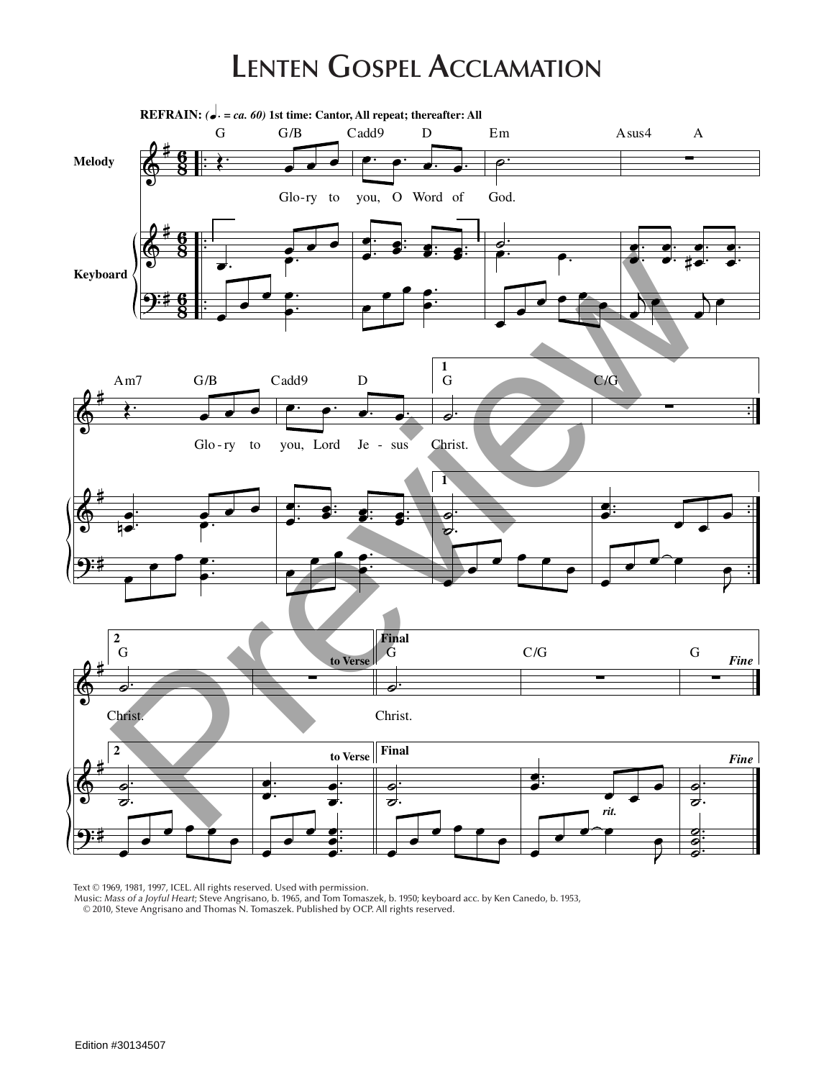## **Lenten Gospel Acclamation**



Text © 1969, 1981, 1997, ICEL. All rights reserved. Used with permission.

Music: *Mass of a Joyful Heart*; Steve Angrisano, b. 1965, and Tom Tomaszek, b. 1950; keyboard acc. by Ken Canedo, b. 1953, © 2010, Steve Angrisano and Thomas N. Tomaszek. Published by OCP. All rights reserved.